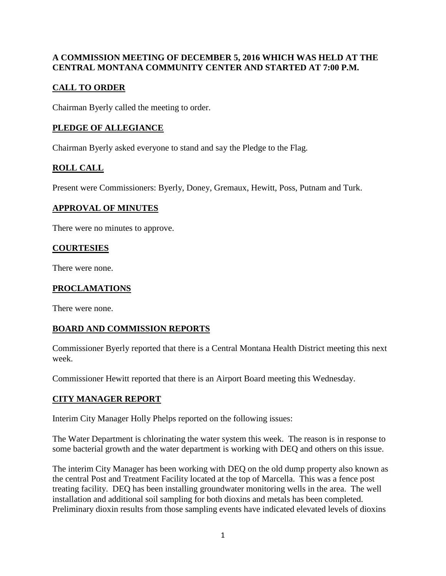### **A COMMISSION MEETING OF DECEMBER 5, 2016 WHICH WAS HELD AT THE CENTRAL MONTANA COMMUNITY CENTER AND STARTED AT 7:00 P.M.**

# **CALL TO ORDER**

Chairman Byerly called the meeting to order.

# **PLEDGE OF ALLEGIANCE**

Chairman Byerly asked everyone to stand and say the Pledge to the Flag.

# **ROLL CALL**

Present were Commissioners: Byerly, Doney, Gremaux, Hewitt, Poss, Putnam and Turk.

#### **APPROVAL OF MINUTES**

There were no minutes to approve.

### **COURTESIES**

There were none.

### **PROCLAMATIONS**

There were none.

## **BOARD AND COMMISSION REPORTS**

Commissioner Byerly reported that there is a Central Montana Health District meeting this next week.

Commissioner Hewitt reported that there is an Airport Board meeting this Wednesday.

## **CITY MANAGER REPORT**

Interim City Manager Holly Phelps reported on the following issues:

The Water Department is chlorinating the water system this week. The reason is in response to some bacterial growth and the water department is working with DEQ and others on this issue.

The interim City Manager has been working with DEQ on the old dump property also known as the central Post and Treatment Facility located at the top of Marcella. This was a fence post treating facility. DEQ has been installing groundwater monitoring wells in the area. The well installation and additional soil sampling for both dioxins and metals has been completed. Preliminary dioxin results from those sampling events have indicated elevated levels of dioxins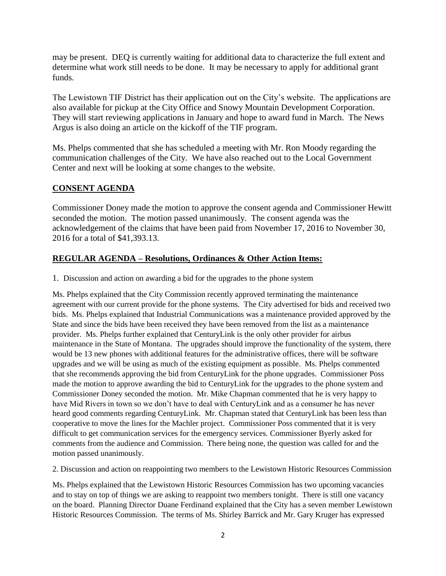may be present. DEQ is currently waiting for additional data to characterize the full extent and determine what work still needs to be done. It may be necessary to apply for additional grant funds.

The Lewistown TIF District has their application out on the City's website. The applications are also available for pickup at the City Office and Snowy Mountain Development Corporation. They will start reviewing applications in January and hope to award fund in March. The News Argus is also doing an article on the kickoff of the TIF program.

Ms. Phelps commented that she has scheduled a meeting with Mr. Ron Moody regarding the communication challenges of the City. We have also reached out to the Local Government Center and next will be looking at some changes to the website.

## **CONSENT AGENDA**

Commissioner Doney made the motion to approve the consent agenda and Commissioner Hewitt seconded the motion. The motion passed unanimously. The consent agenda was the acknowledgement of the claims that have been paid from November 17, 2016 to November 30, 2016 for a total of \$41,393.13.

#### **REGULAR AGENDA – Resolutions, Ordinances & Other Action Items:**

1. Discussion and action on awarding a bid for the upgrades to the phone system

Ms. Phelps explained that the City Commission recently approved terminating the maintenance agreement with our current provide for the phone systems. The City advertised for bids and received two bids. Ms. Phelps explained that Industrial Communications was a maintenance provided approved by the State and since the bids have been received they have been removed from the list as a maintenance provider. Ms. Phelps further explained that CenturyLink is the only other provider for airbus maintenance in the State of Montana. The upgrades should improve the functionality of the system, there would be 13 new phones with additional features for the administrative offices, there will be software upgrades and we will be using as much of the existing equipment as possible. Ms. Phelps commented that she recommends approving the bid from CenturyLink for the phone upgrades. Commissioner Poss made the motion to approve awarding the bid to CenturyLink for the upgrades to the phone system and Commissioner Doney seconded the motion. Mr. Mike Chapman commented that he is very happy to have Mid Rivers in town so we don't have to deal with CenturyLink and as a consumer he has never heard good comments regarding CenturyLink. Mr. Chapman stated that CenturyLink has been less than cooperative to move the lines for the Machler project. Commissioner Poss commented that it is very difficult to get communication services for the emergency services. Commissioner Byerly asked for comments from the audience and Commission. There being none, the question was called for and the motion passed unanimously.

2. Discussion and action on reappointing two members to the Lewistown Historic Resources Commission

Ms. Phelps explained that the Lewistown Historic Resources Commission has two upcoming vacancies and to stay on top of things we are asking to reappoint two members tonight. There is still one vacancy on the board. Planning Director Duane Ferdinand explained that the City has a seven member Lewistown Historic Resources Commission. The terms of Ms. Shirley Barrick and Mr. Gary Kruger has expressed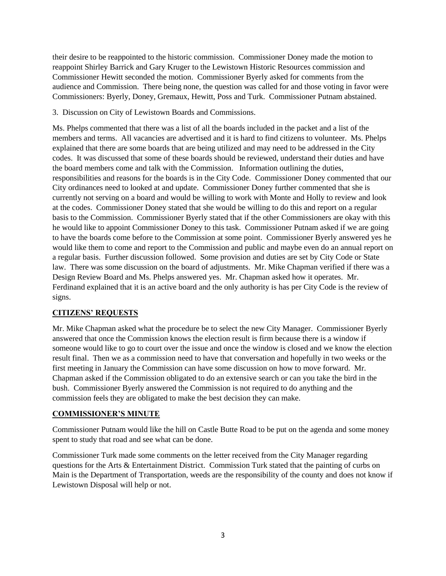their desire to be reappointed to the historic commission. Commissioner Doney made the motion to reappoint Shirley Barrick and Gary Kruger to the Lewistown Historic Resources commission and Commissioner Hewitt seconded the motion. Commissioner Byerly asked for comments from the audience and Commission. There being none, the question was called for and those voting in favor were Commissioners: Byerly, Doney, Gremaux, Hewitt, Poss and Turk. Commissioner Putnam abstained.

#### 3. Discussion on City of Lewistown Boards and Commissions.

Ms. Phelps commented that there was a list of all the boards included in the packet and a list of the members and terms. All vacancies are advertised and it is hard to find citizens to volunteer. Ms. Phelps explained that there are some boards that are being utilized and may need to be addressed in the City codes. It was discussed that some of these boards should be reviewed, understand their duties and have the board members come and talk with the Commission. Information outlining the duties, responsibilities and reasons for the boards is in the City Code. Commissioner Doney commented that our City ordinances need to looked at and update. Commissioner Doney further commented that she is currently not serving on a board and would be willing to work with Monte and Holly to review and look at the codes. Commissioner Doney stated that she would be willing to do this and report on a regular basis to the Commission. Commissioner Byerly stated that if the other Commissioners are okay with this he would like to appoint Commissioner Doney to this task. Commissioner Putnam asked if we are going to have the boards come before to the Commission at some point. Commissioner Byerly answered yes he would like them to come and report to the Commission and public and maybe even do an annual report on a regular basis. Further discussion followed. Some provision and duties are set by City Code or State law. There was some discussion on the board of adjustments. Mr. Mike Chapman verified if there was a Design Review Board and Ms. Phelps answered yes. Mr. Chapman asked how it operates. Mr. Ferdinand explained that it is an active board and the only authority is has per City Code is the review of signs.

#### **CITIZENS' REQUESTS**

Mr. Mike Chapman asked what the procedure be to select the new City Manager. Commissioner Byerly answered that once the Commission knows the election result is firm because there is a window if someone would like to go to court over the issue and once the window is closed and we know the election result final. Then we as a commission need to have that conversation and hopefully in two weeks or the first meeting in January the Commission can have some discussion on how to move forward. Mr. Chapman asked if the Commission obligated to do an extensive search or can you take the bird in the bush. Commissioner Byerly answered the Commission is not required to do anything and the commission feels they are obligated to make the best decision they can make.

#### **COMMISSIONER'S MINUTE**

Commissioner Putnam would like the hill on Castle Butte Road to be put on the agenda and some money spent to study that road and see what can be done.

Commissioner Turk made some comments on the letter received from the City Manager regarding questions for the Arts & Entertainment District. Commission Turk stated that the painting of curbs on Main is the Department of Transportation, weeds are the responsibility of the county and does not know if Lewistown Disposal will help or not.